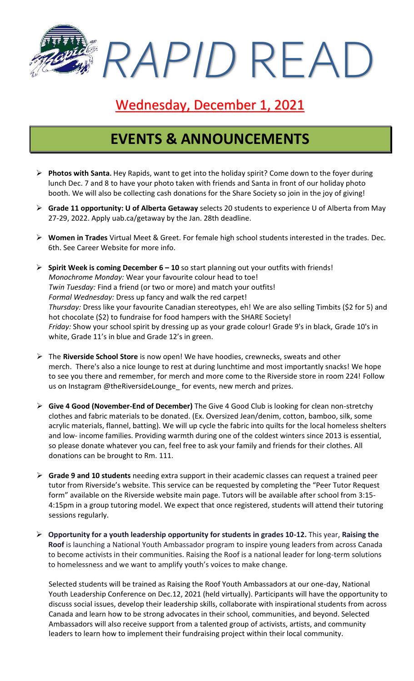*RAPID* READ

### Wednesday, December 1, 2021

### **EVENTS & ANNOUNCEMENTS**

- ➢ **Photos with Santa.** Hey Rapids, want to get into the holiday spirit? Come down to the foyer during lunch Dec. 7 and 8 to have your photo taken with friends and Santa in front of our holiday photo booth. We will also be collecting cash donations for the Share Society so join in the joy of giving!
- ➢ **Grade 11 opportunity: U of Alberta Getaway** selects 20 students to experience U of Alberta from May 27-29, 2022. Apply uab.ca/getaway by the Jan. 28th deadline.
- ➢ **Women in Trades** Virtual Meet & Greet. For female high school students interested in the trades. Dec. 6th. See Career Website for more info.
- ➢ **Spirit Week is coming December 6 – 10** so start planning out your outfits with friends! *Monochrome Monday:* Wear your favourite colour head to toe! *Twin Tuesday:* Find a friend (or two or more) and match your outfits! *Formal Wednesday:* Dress up fancy and walk the red carpet! *Thursday:* Dress like your favourite Canadian stereotypes, eh! We are also selling Timbits (\$2 for 5) and hot chocolate (\$2) to fundraise for food hampers with the SHARE Society! *Friday:* Show your school spirit by dressing up as your grade colour! Grade 9's in black, Grade 10's in white, Grade 11's in blue and Grade 12's in green.
- ➢ The **Riverside School Store** is now open! We have hoodies, crewnecks, sweats and other merch. There's also a nice lounge to rest at during lunchtime and most importantly snacks! We hope to see you there and remember, for merch and more come to the Riverside store in room 224! Follow us on Instagram @theRiversideLounge\_ for events, new merch and prizes.
- ➢ **Give 4 Good (November-End of December)** The Give 4 Good Club is looking for clean non-stretchy clothes and fabric materials to be donated. (Ex. Oversized Jean/denim, cotton, bamboo, silk, some acrylic materials, flannel, batting). We will up cycle the fabric into quilts for the local homeless shelters and low- income families. Providing warmth during one of the coldest winters since 2013 is essential, so please donate whatever you can, feel free to ask your family and friends for their clothes. All donations can be brought to Rm. 111.
- ➢ **Grade 9 and 10 students** needing extra support in their academic classes can request a trained peer tutor from Riverside's website. This service can be requested by completing the "Peer Tutor Request form" available on the Riverside website main page. Tutors will be available after school from 3:15- 4:15pm in a group tutoring model. We expect that once registered, students will attend their tutoring sessions regularly.
- ➢ **Opportunity for a youth leadership opportunity for students in grades 10-12.** This year, **Raising the Roof** is launching a National Youth Ambassador program to inspire young leaders from across Canada to become activists in their communities. Raising the Roof is a national leader for long-term solutions to homelessness and we want to amplify youth's voices to make change.

Selected students will be trained as Raising the Roof Youth Ambassadors at our one-day, National Youth Leadership Conference on Dec.12, 2021 (held virtually). Participants will have the opportunity to discuss social issues, develop their leadership skills, collaborate with inspirational students from across Canada and learn how to be strong advocates in their school, communities, and beyond. Selected Ambassadors will also receive support from a talented group of activists, artists, and community leaders to learn how to implement their fundraising project within their local community.